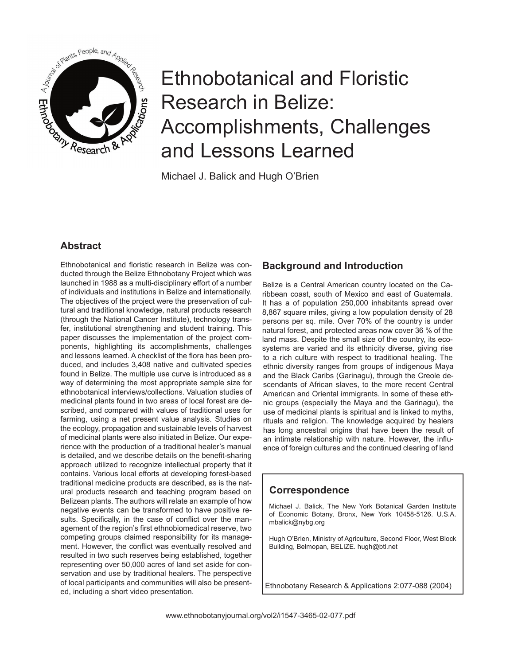

Michael J. Balick and Hugh O'Brien

# **Abstract**

Ethnobotanical and floristic research in Belize was conducted through the Belize Ethnobotany Project which was launched in 1988 as a multi-disciplinary effort of a number of individuals and institutions in Belize and internationally. The objectives of the project were the preservation of cultural and traditional knowledge, natural products research (through the National Cancer Institute), technology transfer, institutional strengthening and student training. This paper discusses the implementation of the project components, highlighting its accomplishments, challenges and lessons learned. A checklist of the flora has been produced, and includes 3,408 native and cultivated species found in Belize. The multiple use curve is introduced as a way of determining the most appropriate sample size for ethnobotanical interviews/collections. Valuation studies of medicinal plants found in two areas of local forest are described, and compared with values of traditional uses for farming, using a net present value analysis. Studies on the ecology, propagation and sustainable levels of harvest of medicinal plants were also initiated in Belize. Our experience with the production of a traditional healer's manual is detailed, and we describe details on the benefit-sharing approach utilized to recognize intellectual property that it contains. Various local efforts at developing forest-based traditional medicine products are described, as is the natural products research and teaching program based on Belizean plants. The authors will relate an example of how negative events can be transformed to have positive results. Specifically, in the case of conflict over the management of the region's first ethnobiomedical reserve, two competing groups claimed responsibility for its management. However, the conflict was eventually resolved and resulted in two such reserves being established, together representing over 50,000 acres of land set aside for conservation and use by traditional healers. The perspective of local participants and communities will also be presented, including a short video presentation.

## **Background and Introduction**

Belize is a Central American country located on the Caribbean coast, south of Mexico and east of Guatemala. It has a of population 250,000 inhabitants spread over 8,867 square miles, giving a low population density of 28 persons per sq. mile. Over 70% of the country is under natural forest, and protected areas now cover 36 % of the land mass. Despite the small size of the country, its ecosystems are varied and its ethnicity diverse, giving rise to a rich culture with respect to traditional healing. The ethnic diversity ranges from groups of indigenous Maya and the Black Caribs (Garinagu), through the Creole descendants of African slaves, to the more recent Central American and Oriental immigrants. In some of these ethnic groups (especially the Maya and the Garinagu), the use of medicinal plants is spiritual and is linked to myths, rituals and religion. The knowledge acquired by healers has long ancestral origins that have been the result of an intimate relationship with nature. However, the influence of foreign cultures and the continued clearing of land

# **Correspondence**

Michael J. Balick, The New York Botanical Garden Institute of Economic Botany, Bronx, New York 10458-5126. U.S.A. mbalick@nybg.org

Hugh O'Brien, Ministry of Agriculture, Second Floor, West Block Building, Belmopan, BELIZE. hugh@btl.net

Ethnobotany Research & Applications 2:077-088 (2004)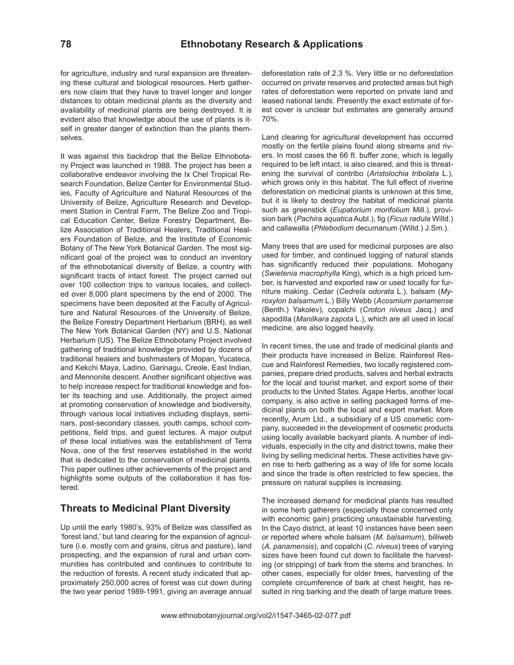for agriculture, industry and rural expansion are threatening these cultural and biological resources. Herb gatherers now claim that they have to travel longer and longer distances to obtain medicinal plants as the diversity and availability of medicinal plants are being destroyed. It is evident also that knowledge about the use of plants is itself in greater danger of extinction than the plants themselves.

It was against this backdrop that the Belize Ethnobotany Project was launched in 1988. The project has been a collaborative endeavor involving the Ix Chel Tropical Research Foundation, Belize Center for Environmental Studies, Faculty of Agriculture and Natural Resources of the University of Belize, Agriculture Research and Development Station in Central Farm, The Belize Zoo and Tropical Education Center, Belize Forestry Department, Belize Association of Traditional Healers, Traditional Healers Foundation of Belize, and the Institute of Economic Botany of The New York Botanical Garden. The most significant goal of the project was to conduct an inventory of the ethnobotanical diversity of Belize, a country with significant tracts of intact forest. The project carried out over 100 collection trips to various locales, and collected over 8,000 plant specimens by the end of 2000. The specimens have been deposited at the Faculty of Agriculture and Natural Resources of the University of Belize, the Belize Forestry Department Herbarium (BRH), as well The New York Botanical Garden (NY) and U.S. National Herbarium (US). The Belize Ethnobotany Project involved gathering of traditional knowledge provided by dozens of traditional healers and bushmasters of Mopan, Yucateca, and Kekchi Maya, Ladino, Garinagu, Creole, East Indian, and Mennonite descent. Another significant objective was to help increase respect for traditional knowledge and foster its teaching and use. Additionally, the project aimed at promoting conservation of knowledge and biodiversity, through various local initiatives including displays, seminars, post-secondary classes, youth camps, school competitions, field trips, and guest lectures. A major output of these local initiatives was the establishment of Terra Nova, one of the first reserves established in the world that is dedicated to the conservation of medicinal plants. This paper outlines other achievements of the project and highlights some outputs of the collaboration it has fostered.

#### **Threats to Medicinal Plant Diversity**

Up until the early 1980's, 93% of Belize was classified as 'forest land,' but land clearing for the expansion of agriculture (i.e. mostly corn and grains, citrus and pasture), land prospecting, and the expansion of rural and urban communities has contributed and continues to contribute to the reduction of forests. A recent study indicated that approximately 250,000 acres of forest was cut down during the two year period 1989-1991, giving an average annual deforestation rate of 2.3 %. Very little or no deforestation occurred on private reserves and protected areas but high rates of deforestation were reported on private land and leased national lands. Presently the exact estimate of forest cover is unclear but estimates are generally around 70%.

Land clearing for agricultural development has occurred mostly on the fertile plains found along streams and rivers. In most cases the 66 ft. buffer zone, which is legally required to be left intact, is also cleared, and this is threatening the survival of contribo (*Aristolochia tribolata* L.), which grows only in this habitat. The full effect of riverine deforestation on medicinal plants is unknown at this time, but it is likely to destroy the habitat of medicinal plants such as greenstick (*Eupatorium morifolium* Mill.), provision bark (*Pachira aquatica* Aubl.), fig (*Ficus radula* Willd.) and callawalla (*Phlebodium* decumanum (Willd.) J.Sm.).

Many trees that are used for medicinal purposes are also used for timber, and continued logging of natural stands has significantly reduced their populations. Mohogany (*Swietenia macrophylla* King), which is a high priced lumber, is harvested and exported raw or used locally for furniture making. Cedar (*Cedrela odorata* L.), balsam (*Myroxylon balsamum* L.) Billy Webb (*Acosmium panamense* (Benth.) Yakolev), copalchi (*Croton niveus* Jacq.) and sapodilla (*Manilkara zapota* L.), which are all used in local medicine, are also logged heavily.

In recent times, the use and trade of medicinal plants and their products have increased in Belize. Rainforest Rescue and Rainforest Remedies, two locally registered companies, prepare dried products, salves and herbal extracts for the local and tourist market, and export some of their products to the United States. Agape Herbs, another local company, is also active in selling packaged forms of medicinal plants on both the local and export market. More recently, Arum Ltd., a subsidiary of a US cosmetic company, succeeded in the development of cosmetic products using locally available backyard plants. A number of individuals, especially in the city and district towns, make their living by selling medicinal herbs. These activities have given rise to herb gathering as a way of life for some locals and since the trade is often restricted to few species, the pressure on natural supplies is increasing.

The increased demand for medicinal plants has resulted in some herb gatherers (especially those concerned only with economic gain) practicing unsustainable harvesting. In the Cayo district, at least 10 instances have been seen or reported where whole balsam (*M. balsamum*), billiweb (*A. panamensis*), and copalchi (*C. niveus*) trees of varying sizes have been found cut down to facilitate the harvesting (or stripping) of bark from the stems and branches. In other cases, especially for older trees, harvesting of the complete circumference of bark at chest height, has resulted in ring barking and the death of large mature trees.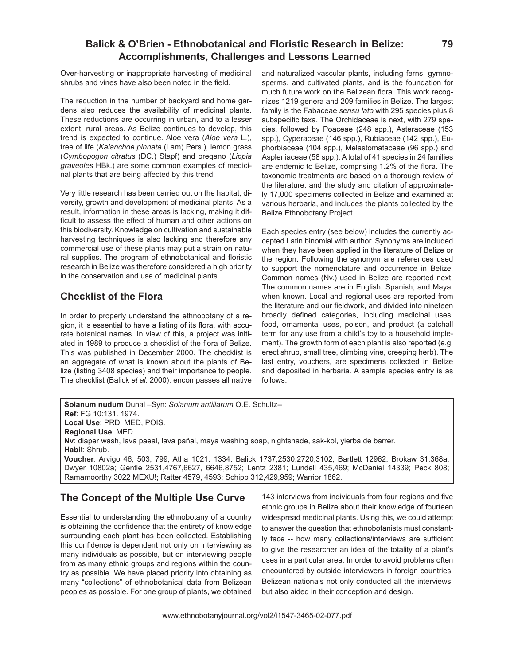Over-harvesting or inappropriate harvesting of medicinal shrubs and vines have also been noted in the field.

The reduction in the number of backyard and home gardens also reduces the availability of medicinal plants. These reductions are occurring in urban, and to a lesser extent, rural areas. As Belize continues to develop, this trend is expected to continue. Aloe vera (*Aloe vera* L.), tree of life (*Kalanchoe pinnata* (Lam) Pers.), lemon grass (*Cymbopogon citratus* (DC.) Stapf) and oregano (*Lippia graveoles* HBk.) are some common examples of medicinal plants that are being affected by this trend.

Very little research has been carried out on the habitat, diversity, growth and development of medicinal plants. As a result, information in these areas is lacking, making it difficult to assess the effect of human and other actions on this biodiversity. Knowledge on cultivation and sustainable harvesting techniques is also lacking and therefore any commercial use of these plants may put a strain on natural supplies. The program of ethnobotanical and floristic research in Belize was therefore considered a high priority in the conservation and use of medicinal plants.

## **Checklist of the Flora**

In order to properly understand the ethnobotany of a region, it is essential to have a listing of its flora, with accurate botanical names. In view of this, a project was initiated in 1989 to produce a checklist of the flora of Belize. This was published in December 2000. The checklist is an aggregate of what is known about the plants of Belize (listing 3408 species) and their importance to people. The checklist (Balick *et al*. 2000), encompasses all native

and naturalized vascular plants, including ferns, gymnosperms, and cultivated plants, and is the foundation for much future work on the Belizean flora. This work recognizes 1219 genera and 209 families in Belize. The largest family is the Fabaceae *sensu lato* with 295 species plus 8 subspecific taxa. The Orchidaceae is next, with 279 species, followed by Poaceae (248 spp.), Asteraceae (153 spp.), Cyperaceae (146 spp.), Rubiaceae (142 spp.), Euphorbiaceae (104 spp.), Melastomataceae (96 spp.) and Aspleniaceae (58 spp.). A total of 41 species in 24 families are endemic to Belize, comprising 1.2% of the flora. The taxonomic treatments are based on a thorough review of the literature, and the study and citation of approximately 17,000 specimens collected in Belize and examined at various herbaria, and includes the plants collected by the Belize Ethnobotany Project.

Each species entry (see below) includes the currently accepted Latin binomial with author. Synonyms are included when they have been applied in the literature of Belize or the region. Following the synonym are references used to support the nomenclature and occurrence in Belize. Common names (Nv.) used in Belize are reported next. The common names are in English, Spanish, and Maya, when known. Local and regional uses are reported from the literature and our fieldwork, and divided into nineteen broadly defined categories, including medicinal uses, food, ornamental uses, poison, and product (a catchall term for any use from a child's toy to a household implement). The growth form of each plant is also reported (e.g. erect shrub, small tree, climbing vine, creeping herb). The last entry, vouchers, are specimens collected in Belize and deposited in herbaria. A sample species entry is as follows:

**Solanum nudum** Dunal –Syn: *Solanum antillarum* O.E. Schultz-- **Ref**: FG 10:131. 1974. **Local Use**: PRD, MED, POIS. **Regional Use**: MED. **Nv**: diaper wash, lava paeal, lava pañal, maya washing soap, nightshade, sak-kol, yierba de barrer. **Habi**t: Shrub. **Voucher**: Arvigo 46, 503, 799; Atha 1021, 1334; Balick 1737,2530,2720,3102; Bartlett 12962; Brokaw 31,368a; Dwyer 10802a; Gentle 2531,4767,6627, 6646,8752; Lentz 2381; Lundell 435,469; McDaniel 14339; Peck 808; Ramamoorthy 3022 MEXU!; Ratter 4579, 4593; Schipp 312,429,959; Warrior 1862.

## **The Concept of the Multiple Use Curve**

Essential to understanding the ethnobotany of a country is obtaining the confidence that the entirety of knowledge surrounding each plant has been collected. Establishing this confidence is dependent not only on interviewing as many individuals as possible, but on interviewing people from as many ethnic groups and regions within the country as possible. We have placed priority into obtaining as many "collections" of ethnobotanical data from Belizean peoples as possible. For one group of plants, we obtained

143 interviews from individuals from four regions and five ethnic groups in Belize about their knowledge of fourteen widespread medicinal plants. Using this, we could attempt to answer the question that ethnobotanists must constantly face -- how many collections/interviews are sufficient to give the researcher an idea of the totality of a plant's uses in a particular area. In order to avoid problems often encountered by outside interviewers in foreign countries, Belizean nationals not only conducted all the interviews, but also aided in their conception and design.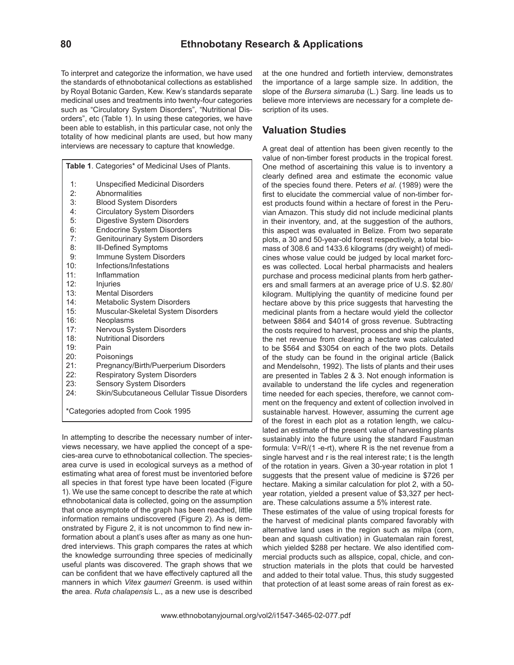To interpret and categorize the information, we have used the standards of ethnobotanical collections as established by Royal Botanic Garden, Kew. Kew's standards separate medicinal uses and treatments into twenty-four categories such as "Circulatory System Disorders", "Nutritional Disorders", etc (Table 1). In using these categories, we have been able to establish, in this particular case, not only the totality of how medicinal plants are used, but how many interviews are necessary to capture that knowledge.

| <b>Table 1.</b> Categories* of Medicinal Uses of Plants. |                                             |  |  |  |
|----------------------------------------------------------|---------------------------------------------|--|--|--|
| 1:                                                       | <b>Unspecified Medicinal Disorders</b>      |  |  |  |
| 2:                                                       | Ahnormalities                               |  |  |  |
| 3:                                                       | <b>Blood System Disorders</b>               |  |  |  |
| 4:                                                       | <b>Circulatory System Disorders</b>         |  |  |  |
| 5:                                                       | Digestive System Disorders                  |  |  |  |
| 6:                                                       | <b>Endocrine System Disorders</b>           |  |  |  |
| 7:                                                       | <b>Genitourinary System Disorders</b>       |  |  |  |
| 8:                                                       | <b>III-Defined Symptoms</b>                 |  |  |  |
| 9:                                                       | Immune System Disorders                     |  |  |  |
| 10:                                                      | Infections/Infestations                     |  |  |  |
| 11:                                                      | Inflammation                                |  |  |  |
| 12:                                                      | <b>Injuries</b>                             |  |  |  |
| 13:                                                      | <b>Mental Disorders</b>                     |  |  |  |
| 14:                                                      | Metabolic System Disorders                  |  |  |  |
| 15:                                                      | Muscular-Skeletal System Disorders          |  |  |  |
| 16:                                                      | Neoplasms                                   |  |  |  |
| 17:                                                      | Nervous System Disorders                    |  |  |  |
| 18:                                                      | <b>Nutritional Disorders</b>                |  |  |  |
| 19:                                                      | Pain                                        |  |  |  |
| 20:                                                      | Poisonings                                  |  |  |  |
| 21:                                                      | Pregnancy/Birth/Puerperium Disorders        |  |  |  |
| 22:                                                      | <b>Respiratory System Disorders</b>         |  |  |  |
| 23:                                                      | <b>Sensory System Disorders</b>             |  |  |  |
| 24:                                                      | Skin/Subcutaneous Cellular Tissue Disorders |  |  |  |
| *Categories adopted from Cook 1995                       |                                             |  |  |  |

In attempting to describe the necessary number of interviews necessary, we have applied the concept of a species-area curve to ethnobotanical collection. The speciesarea curve is used in ecological surveys as a method of estimating what area of forest must be inventoried before all species in that forest type have been located (Figure 1). We use the same concept to describe the rate at which ethnobotanical data is collected, going on the assumption that once asymptote of the graph has been reached, little information remains undiscovered (Figure 2). As is demonstrated by Figure 2, it is not uncommon to find new information about a plant's uses after as many as one hundred interviews. This graph compares the rates at which the knowledge surrounding three species of medicinally useful plants was discovered. The graph shows that we can be confident that we have effectively captured all the manners in which *Vitex gaumeri* Greenm. is used within **t**he area. *Ruta chalapensis* L., as a new use is described

at the one hundred and fortieth interview, demonstrates the importance of a large sample size. In addition, the slope of the *Bursera simaruba* (L.) Sarg. line leads us to believe more interviews are necessary for a complete description of its uses.

## **Valuation Studies**

A great deal of attention has been given recently to the value of non-timber forest products in the tropical forest. One method of ascertaining this value is to inventory a clearly defined area and estimate the economic value of the species found there. Peters *et al*. (1989) were the first to elucidate the commercial value of non-timber forest products found within a hectare of forest in the Peruvian Amazon. This study did not include medicinal plants in their inventory, and, at the suggestion of the authors, this aspect was evaluated in Belize. From two separate plots, a 30 and 50-year-old forest respectively, a total biomass of 308.6 and 1433.6 kilograms (dry weight) of medicines whose value could be judged by local market forces was collected. Local herbal pharmacists and healers purchase and process medicinal plants from herb gatherers and small farmers at an average price of U.S. \$2.80/ kilogram. Multiplying the quantity of medicine found per hectare above by this price suggests that harvesting the medicinal plants from a hectare would yield the collector between \$864 and \$4014 of gross revenue. Subtracting the costs required to harvest, process and ship the plants, the net revenue from clearing a hectare was calculated to be \$564 and \$3054 on each of the two plots. Details of the study can be found in the original article (Balick and Mendelsohn, 1992). The lists of plants and their uses are presented in Tables 2 & 3. Not enough information is available to understand the life cycles and regeneration time needed for each species, therefore, we cannot comment on the frequency and extent of collection involved in sustainable harvest. However, assuming the current age of the forest in each plot as a rotation length, we calculated an estimate of the present value of harvesting plants sustainably into the future using the standard Faustman formula: V=R/(1 -e-rt), where R is the net revenue from a single harvest and r is the real interest rate; t is the length of the rotation in years. Given a 30-year rotation in plot 1 suggests that the present value of medicine is \$726 per hectare. Making a similar calculation for plot 2, with a 50 year rotation, yielded a present value of \$3,327 per hectare. These calculations assume a 5% interest rate.

These estimates of the value of using tropical forests for the harvest of medicinal plants compared favorably with alternative land uses in the region such as milpa (corn, bean and squash cultivation) in Guatemalan rain forest, which yielded \$288 per hectare. We also identified commercial products such as allspice, copal, chicle, and construction materials in the plots that could be harvested and added to their total value. Thus, this study suggested that protection of at least some areas of rain forest as ex-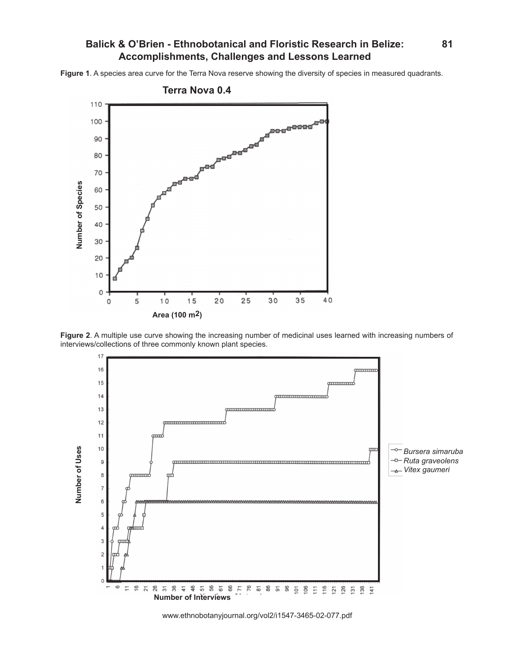**Figure 1**. A species area curve for the Terra Nova reserve showing the diversity of species in measured quadrants.



**Figure 2**. A multiple use curve showing the increasing number of medicinal uses learned with increasing numbers of interviews/collections of three commonly known plant species.



www.ethnobotanyjournal.org/vol2/i1547-3465-02-077.pdf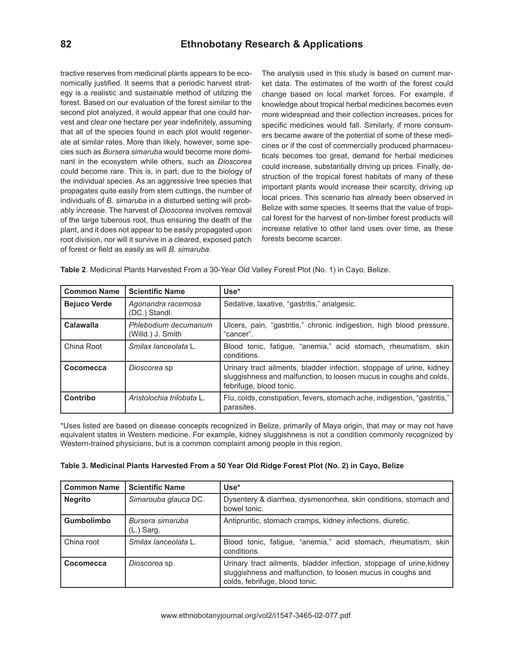tractive reserves from medicinal plants appears to be economically justified. It seems that a periodic harvest strategy is a realistic and sustainable method of utilizing the forest. Based on our evaluation of the forest similar to the second plot analyzed, it would appear that one could harvest and clear one hectare per year indefinitely, assuming that all of the species found in each plot would regenerate at similar rates. More than likely, however, some species such as *Bursera simaruba* would become more dominant in the ecosystem while others, such as *Dioscorea*  could become rare. This is, in part, due to the biology of the individual species. As an aggressive tree species that propagates quite easily from stem cuttings, the number of individuals of *B. simaruba* in a disturbed setting will probably increase. The harvest of *Dioscorea* involves removal of the large tuberous root, thus ensuring the death of the plant, and it does not appear to be easily propagated upon root division, nor will it survive in a cleared, exposed patch of forest or field as easily as will *B. simaruba*.

The analysis used in this study is based on current market data. The estimates of the worth of the forest could change based on local market forces. For example, if knowledge about tropical herbal medicines becomes even more widespread and their collection increases, prices for specific medicines would fall. Similarly, if more consumers became aware of the potential of some of these medicines or if the cost of commercially produced pharmaceuticals becomes too great, demand for herbal medicines could increase, substantially driving up prices. Finally, destruction of the tropical forest habitats of many of these important plants would increase their scarcity, driving up local prices. This scenario has already been observed in Belize with some species. It seems that the value of tropical forest for the harvest of non-timber forest products will increase relative to other land uses over time, as these forests become scarcer.

**Table 2**. Medicinal Plants Harvested From a 30-Year Old Valley Forest Plot (No. 1) in Cayo, Belize.

| <b>Common Name</b>  | <b>Scientific Name</b>                    | $Use*$                                                                                                                                                                |  |  |  |
|---------------------|-------------------------------------------|-----------------------------------------------------------------------------------------------------------------------------------------------------------------------|--|--|--|
| <b>Bejuco Verde</b> | Agonandra racemosa<br>(DC.) Standl.       | Sedative, laxative, "gastritis," analgesic.                                                                                                                           |  |  |  |
| Calawalla           | Phlebodium decumanum<br>(Willd.) J. Smith | Ulcers, pain, "gastritis," chronic indigestion, high blood pressure,<br>"cancer".                                                                                     |  |  |  |
| China Root          | Smilax lanceolata L.                      | Blood tonic, fatigue, "anemia," acid stomach, rheumatism, skin<br>conditions.                                                                                         |  |  |  |
| Cocomecca           | Dioscorea sp                              | Urinary tract ailments, bladder infection, stoppage of urine, kidney<br>sluggishness and malfunction, to loosen mucus in coughs and colds,<br>febrifuge, blood tonic. |  |  |  |
| Contribo            | Aristolochia trilobata L.                 | Flu, colds, constipation, fevers, stomach ache, indigestion, "gastritis,"<br>parasites.                                                                               |  |  |  |

\*Uses listed are based on disease concepts recognized in Belize, primarily of Maya origin, that may or may not have equivalent states in Western medicine. For example, kidney sluggishness is not a condition commonly recognized by Western-trained physicians, but is a common complaint among people in this region.

| <b>Common Name</b> | <b>Scientific Name</b>           | Use*                                                                                                                                                                  |  |  |  |
|--------------------|----------------------------------|-----------------------------------------------------------------------------------------------------------------------------------------------------------------------|--|--|--|
| <b>Negrito</b>     | Simarouba glauca DC.             | Dysentery & diarrhea, dysmenorrhea, skin conditions, stomach and<br>bowel tonic.                                                                                      |  |  |  |
| <b>Gumbolimbo</b>  | Bursera simaruba<br>$(L.)$ Sarg. | Antipruritic, stomach cramps, kidney infections, diuretic.                                                                                                            |  |  |  |
| China root         | Smilax lanceolata L.             | Blood tonic, fatique, "anemia," acid stomach, rheumatism, skin<br>conditions.                                                                                         |  |  |  |
| Cocomecca          | Dioscorea sp.                    | Urinary tract ailments, bladder infection, stoppage of urine, kidney<br>sluggishness and malfunction, to loosen mucus in coughs and<br>colds, febrifuge, blood tonic. |  |  |  |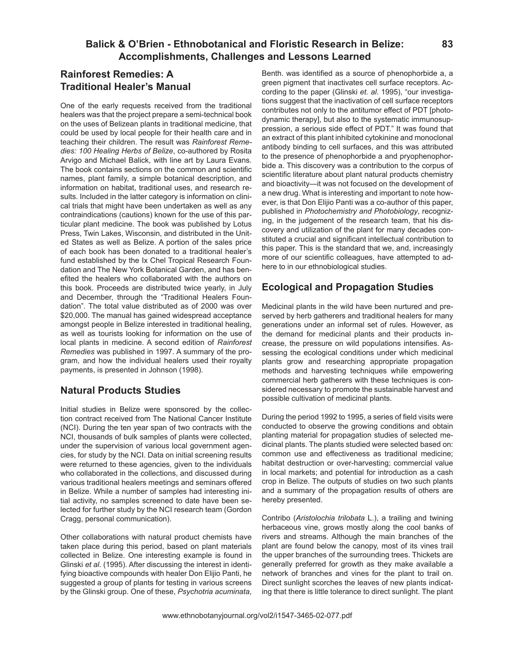## **Rainforest Remedies: A Traditional Healer's Manual**

One of the early requests received from the traditional healers was that the project prepare a semi-technical book on the uses of Belizean plants in traditional medicine, that could be used by local people for their health care and in teaching their children. The result was *Rainforest Remedies: 100 Healing Herbs of Belize*, co-authored by Rosita Arvigo and Michael Balick, with line art by Laura Evans. The book contains sections on the common and scientific names, plant family, a simple botanical description, and information on habitat, traditional uses, and research results. Included in the latter category is information on clinical trials that might have been undertaken as well as any contraindications (cautions) known for the use of this particular plant medicine. The book was published by Lotus Press, Twin Lakes, Wisconsin, and distributed in the United States as well as Belize. A portion of the sales price of each book has been donated to a traditional healer's fund established by the Ix Chel Tropical Research Foundation and The New York Botanical Garden, and has benefited the healers who collaborated with the authors on this book. Proceeds are distributed twice yearly, in July and December, through the "Traditional Healers Foundation". The total value distributed as of 2000 was over \$20,000. The manual has gained widespread acceptance amongst people in Belize interested in traditional healing, as well as tourists looking for information on the use of local plants in medicine. A second edition of *Rainforest Remedies* was published in 1997. A summary of the program, and how the individual healers used their royalty payments, is presented in Johnson (1998).

## **Natural Products Studies**

Initial studies in Belize were sponsored by the collection contract received from The National Cancer Institute (NCI). During the ten year span of two contracts with the NCI, thousands of bulk samples of plants were collected, under the supervision of various local government agencies, for study by the NCI. Data on initial screening results were returned to these agencies, given to the individuals who collaborated in the collections, and discussed during various traditional healers meetings and seminars offered in Belize. While a number of samples had interesting initial activity, no samples screened to date have been selected for further study by the NCI research team (Gordon Cragg, personal communication).

Other collaborations with natural product chemists have taken place during this period, based on plant materials collected in Belize. One interesting example is found in Glinski *et al*. (1995). After discussing the interest in identifying bioactive compounds with healer Don Elijio Panti, he suggested a group of plants for testing in various screens by the Glinski group. One of these, *Psychotria acuminata*,

Benth. was identified as a source of phenophorbide a, a green pigment that inactivates cell surface receptors. According to the paper (Glinski *et. al*. 1995), "our investigations suggest that the inactivation of cell surface receptors contributes not only to the antitumor effect of PDT [photodynamic therapy], but also to the systematic immunosuppression, a serious side effect of PDT." It was found that an extract of this plant inhibited cytokinine and monoclonal antibody binding to cell surfaces, and this was attributed to the presence of phenophorbide a and pryophenophorbide a. This discovery was a contribution to the corpus of scientific literature about plant natural products chemistry and bioactivity—it was not focused on the development of a new drug. What is interesting and important to note however, is that Don Elijio Panti was a co-author of this paper, published in *Photochemistry and Photobiology*, recognizing, in the judgement of the research team, that his discovery and utilization of the plant for many decades constituted a crucial and significant intellectual contribution to this paper. This is the standard that we, and, increasingly more of our scientific colleagues, have attempted to adhere to in our ethnobiological studies.

# **Ecological and Propagation Studies**

Medicinal plants in the wild have been nurtured and preserved by herb gatherers and traditional healers for many generations under an informal set of rules. However, as the demand for medicinal plants and their products increase, the pressure on wild populations intensifies. Assessing the ecological conditions under which medicinal plants grow and researching appropriate propagation methods and harvesting techniques while empowering commercial herb gatherers with these techniques is considered necessary to promote the sustainable harvest and possible cultivation of medicinal plants.

During the period 1992 to 1995, a series of field visits were conducted to observe the growing conditions and obtain planting material for propagation studies of selected medicinal plants. The plants studied were selected based on: common use and effectiveness as traditional medicine; habitat destruction or over-harvesting; commercial value in local markets; and potential for introduction as a cash crop in Belize. The outputs of studies on two such plants and a summary of the propagation results of others are hereby presented.

Contribo (*Aristolochia trilobata* L.), a trailing and twining herbaceous vine, grows mostly along the cool banks of rivers and streams. Although the main branches of the plant are found below the canopy, most of its vines trail the upper branches of the surrounding trees. Thickets are generally preferred for growth as they make available a network of branches and vines for the plant to trail on. Direct sunlight scorches the leaves of new plants indicating that there is little tolerance to direct sunlight. The plant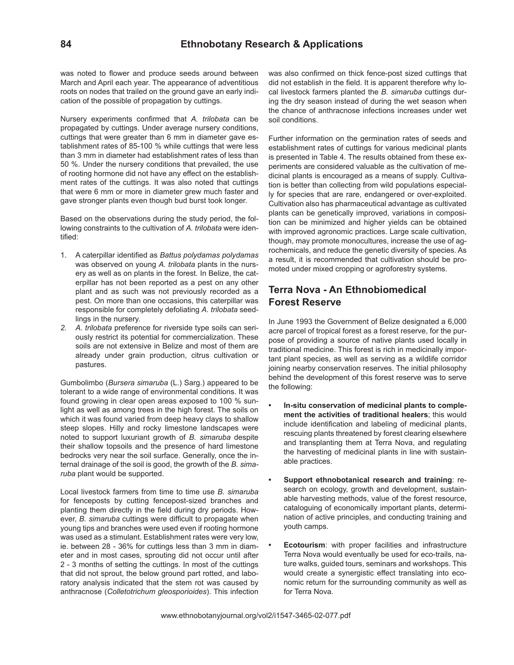was noted to flower and produce seeds around between March and April each year. The appearance of adventitious roots on nodes that trailed on the ground gave an early indication of the possible of propagation by cuttings.

Nursery experiments confirmed that *A. trilobata* can be propagated by cuttings. Under average nursery conditions, cuttings that were greater than 6 mm in diameter gave establishment rates of 85-100 % while cuttings that were less than 3 mm in diameter had establishment rates of less than 50 %. Under the nursery conditions that prevailed, the use of rooting hormone did not have any effect on the establishment rates of the cuttings. It was also noted that cuttings that were 6 mm or more in diameter grew much faster and gave stronger plants even though bud burst took longer.

Based on the observations during the study period, the following constraints to the cultivation of *A. trilobata* were identified:

- A caterpillar identified as *Battus polydamas polydamas* 1. was observed on young *A. trilobata* plants in the nursery as well as on plants in the forest. In Belize, the caterpillar has not been reported as a pest on any other plant and as such was not previously recorded as a pest. On more than one occasions, this caterpillar was responsible for completely defoliating *A. trilobata* seedlings in the nursery.
- *A. trilobata* preference for riverside type soils can seri-*2.* ously restrict its potential for commercialization. These soils are not extensive in Belize and most of them are already under grain production, citrus cultivation or pastures.

Gumbolimbo (*Bursera simaruba* (L.) Sarg.) appeared to be tolerant to a wide range of environmental conditions. It was found growing in clear open areas exposed to 100 % sunlight as well as among trees in the high forest. The soils on which it was found varied from deep heavy clays to shallow steep slopes. Hilly and rocky limestone landscapes were noted to support luxuriant growth of *B. simaruba* despite their shallow topsoils and the presence of hard limestone bedrocks very near the soil surface. Generally, once the internal drainage of the soil is good, the growth of the *B. simaruba* plant would be supported.

Local livestock farmers from time to time use *B. simaruba* for fenceposts by cutting fencepost-sized branches and planting them directly in the field during dry periods. However, *B. simaruba* cuttings were difficult to propagate when young tips and branches were used even if rooting hormone was used as a stimulant. Establishment rates were very low, ie. between 28 - 36% for cuttings less than 3 mm in diameter and in most cases, sprouting did not occur until after 2 - 3 months of setting the cuttings. In most of the cuttings that did not sprout, the below ground part rotted, and laboratory analysis indicated that the stem rot was caused by anthracnose (*Colletotrichum gleosporioides*). This infection was also confirmed on thick fence-post sized cuttings that did not establish in the field. It is apparent therefore why local livestock farmers planted the *B. simaruba* cuttings during the dry season instead of during the wet season when the chance of anthracnose infections increases under wet soil conditions.

Further information on the germination rates of seeds and establishment rates of cuttings for various medicinal plants is presented in Table 4. The results obtained from these experiments are considered valuable as the cultivation of medicinal plants is encouraged as a means of supply. Cultivation is better than collecting from wild populations especially for species that are rare, endangered or over-exploited. Cultivation also has pharmaceutical advantage as cultivated plants can be genetically improved, variations in composition can be minimized and higher yields can be obtained with improved agronomic practices. Large scale cultivation, though, may promote monocultures, increase the use of agrochemicals, and reduce the genetic diversity of species. As a result, it is recommended that cultivation should be promoted under mixed cropping or agroforestry systems.

#### **Terra Nova - An Ethnobiomedical Forest Reserve**

In June 1993 the Government of Belize designated a 6,000 acre parcel of tropical forest as a forest reserve, for the purpose of providing a source of native plants used locally in traditional medicine. This forest is rich in medicinally important plant species, as well as serving as a wildlife corridor joining nearby conservation reserves. The initial philosophy behind the development of this forest reserve was to serve the following:

- **In-situ conservation of medicinal plants to complement the activities of traditional healers**; this would include identification and labeling of medicinal plants, rescuing plants threatened by forest clearing elsewhere and transplanting them at Terra Nova, and regulating the harvesting of medicinal plants in line with sustainable practices. **•**
- **Support ethnobotanical research and training**: research on ecology, growth and development, sustainable harvesting methods, value of the forest resource, cataloguing of economically important plants, determination of active principles, and conducting training and youth camps. **•**
- **Ecotourism**: with proper facilities and infrastructure Terra Nova would eventually be used for eco-trails, nature walks, guided tours, seminars and workshops. This would create a synergistic effect translating into economic return for the surrounding community as well as for Terra Nova. **•**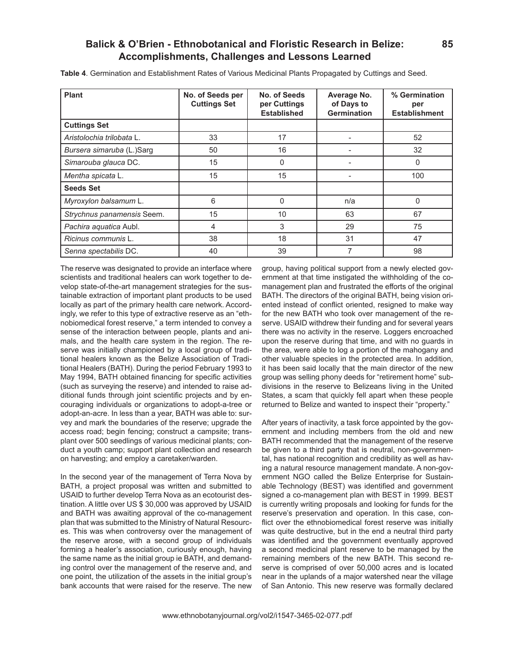| Plant                      | No. of Seeds per<br><b>Cuttings Set</b> | No. of Seeds<br>per Cuttings<br><b>Established</b> | Average No.<br>of Days to<br><b>Germination</b> | % Germination<br>per<br><b>Establishment</b> |
|----------------------------|-----------------------------------------|----------------------------------------------------|-------------------------------------------------|----------------------------------------------|
| <b>Cuttings Set</b>        |                                         |                                                    |                                                 |                                              |
| Aristolochia trilobata L.  | 33                                      | 17                                                 |                                                 | 52                                           |
| Bursera simaruba (L.)Sarg  | 50                                      | 16                                                 |                                                 | 32                                           |
| Simarouba glauca DC.       | 15                                      | 0                                                  |                                                 | 0                                            |
| Mentha spicata L.          | 15                                      | 15                                                 |                                                 | 100                                          |
| <b>Seeds Set</b>           |                                         |                                                    |                                                 |                                              |
| Myroxylon balsamum L.      | 6                                       | $\Omega$                                           | n/a                                             | 0                                            |
| Strychnus panamensis Seem. | 15                                      | 10                                                 | 63                                              | 67                                           |
| Pachira aquatica Aubl.     | 4                                       | 3                                                  | 29                                              | 75                                           |
| Ricinus communis L.        | 38                                      | 18                                                 | 31                                              | 47                                           |
| Senna spectabilis DC.      | 40                                      | 39                                                 |                                                 | 98                                           |

**Table 4**. Germination and Establishment Rates of Various Medicinal Plants Propagated by Cuttings and Seed.

The reserve was designated to provide an interface where scientists and traditional healers can work together to develop state-of-the-art management strategies for the sustainable extraction of important plant products to be used locally as part of the primary health care network. Accordingly, we refer to this type of extractive reserve as an "ethnobiomedical forest reserve," a term intended to convey a sense of the interaction between people, plants and animals, and the health care system in the region. The reserve was initially championed by a local group of traditional healers known as the Belize Association of Traditional Healers (BATH). During the period February 1993 to May 1994, BATH obtained financing for specific activities (such as surveying the reserve) and intended to raise additional funds through joint scientific projects and by encouraging individuals or organizations to adopt-a-tree or adopt-an-acre. In less than a year, BATH was able to: survey and mark the boundaries of the reserve; upgrade the access road; begin fencing; construct a campsite; transplant over 500 seedlings of various medicinal plants; conduct a youth camp; support plant collection and research on harvesting; and employ a caretaker/warden.

In the second year of the management of Terra Nova by BATH, a project proposal was written and submitted to USAID to further develop Terra Nova as an ecotourist destination. A little over US \$ 30,000 was approved by USAID and BATH was awaiting approval of the co-management plan that was submitted to the Ministry of Natural Resources. This was when controversy over the management of the reserve arose, with a second group of individuals forming a healer's association, curiously enough, having the same name as the initial group ie BATH, and demanding control over the management of the reserve and, and one point, the utilization of the assets in the initial group's bank accounts that were raised for the reserve. The new

group, having political support from a newly elected government at that time instigated the withholding of the comanagement plan and frustrated the efforts of the original BATH. The directors of the original BATH, being vision oriented instead of conflict oriented, resigned to make way for the new BATH who took over management of the reserve. USAID withdrew their funding and for several years there was no activity in the reserve. Loggers encroached upon the reserve during that time, and with no guards in the area, were able to log a portion of the mahogany and other valuable species in the protected area. In addition, it has been said locally that the main director of the new group was selling phony deeds for "retirement home" subdivisions in the reserve to Belizeans living in the United States, a scam that quickly fell apart when these people returned to Belize and wanted to inspect their "property."

After years of inactivity, a task force appointed by the government and including members from the old and new BATH recommended that the management of the reserve be given to a third party that is neutral, non-governmental, has national recognition and credibility as well as having a natural resource management mandate. A non-government NGO called the Belize Enterprise for Sustainable Technology (BEST) was identified and government signed a co-management plan with BEST in 1999. BEST is currently writing proposals and looking for funds for the reserve's preservation and operation. In this case, conflict over the ethnobiomedical forest reserve was initially was quite destructive, but in the end a neutral third party was identified and the government eventually approved a second medicinal plant reserve to be managed by the remaining members of the new BATH. This second reserve is comprised of over 50,000 acres and is located near in the uplands of a major watershed near the village of San Antonio. This new reserve was formally declared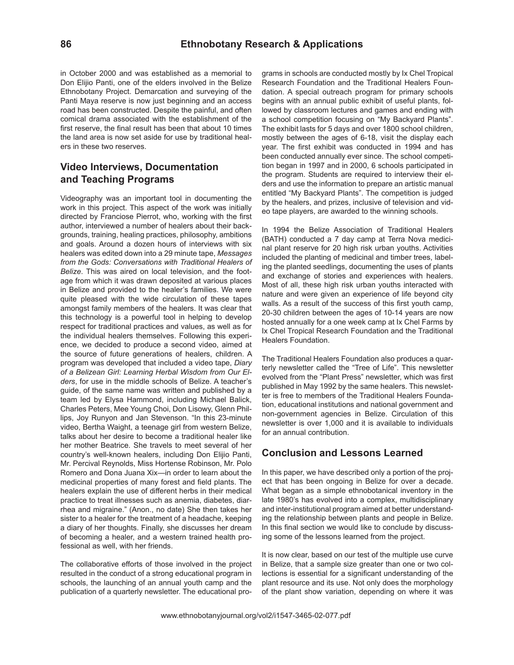in October 2000 and was established as a memorial to Don Elijio Panti, one of the elders involved in the Belize Ethnobotany Project. Demarcation and surveying of the Panti Maya reserve is now just beginning and an access road has been constructed. Despite the painful, and often comical drama associated with the establishment of the first reserve, the final result has been that about 10 times the land area is now set aside for use by traditional healers in these two reserves.

#### **Video Interviews, Documentation and Teaching Programs**

Videography was an important tool in documenting the work in this project. This aspect of the work was initially directed by Franciose Pierrot, who, working with the first author, interviewed a number of healers about their backgrounds, training, healing practices, philosophy, ambitions and goals. Around a dozen hours of interviews with six healers was edited down into a 29 minute tape, *Messages from the Gods: Conversations with Traditional Healers of Belize*. This was aired on local television, and the footage from which it was drawn deposited at various places in Belize and provided to the healer's families. We were quite pleased with the wide circulation of these tapes amongst family members of the healers. It was clear that this technology is a powerful tool in helping to develop respect for traditional practices and values, as well as for the individual healers themselves. Following this experience, we decided to produce a second video, aimed at the source of future generations of healers, children. A program was developed that included a video tape, *Diary of a Belizean Girl: Learning Herbal Wisdom from Our Elders*, for use in the middle schools of Belize. A teacher's guide, of the same name was written and published by a team led by Elysa Hammond, including Michael Balick, Charles Peters, Mee Young Choi, Don Lisowy, Glenn Phillips, Joy Runyon and Jan Stevenson. "In this 23-minute video, Bertha Waight, a teenage girl from western Belize, talks about her desire to become a traditional healer like her mother Beatrice. She travels to meet several of her country's well-known healers, including Don Elijio Panti, Mr. Percival Reynolds, Miss Hortense Robinson, Mr. Polo Romero and Dona Juana Xix—in order to learn about the medicinal properties of many forest and field plants. The healers explain the use of different herbs in their medical practice to treat illnesses such as anemia, diabetes, diarrhea and migraine." (Anon., no date) She then takes her sister to a healer for the treatment of a headache, keeping a diary of her thoughts. Finally, she discusses her dream of becoming a healer, and a western trained health professional as well, with her friends.

The collaborative efforts of those involved in the project resulted in the conduct of a strong educational program in schools, the launching of an annual youth camp and the publication of a quarterly newsletter. The educational programs in schools are conducted mostly by Ix Chel Tropical Research Foundation and the Traditional Healers Foundation. A special outreach program for primary schools begins with an annual public exhibit of useful plants, followed by classroom lectures and games and ending with a school competition focusing on "My Backyard Plants". The exhibit lasts for 5 days and over 1800 school children, mostly between the ages of 6-18, visit the display each year. The first exhibit was conducted in 1994 and has been conducted annually ever since. The school competition began in 1997 and in 2000, 6 schools participated in the program. Students are required to interview their elders and use the information to prepare an artistic manual entitled "My Backyard Plants". The competition is judged by the healers, and prizes, inclusive of television and video tape players, are awarded to the winning schools.

In 1994 the Belize Association of Traditional Healers (BATH) conducted a 7 day camp at Terra Nova medicinal plant reserve for 20 high risk urban youths. Activities included the planting of medicinal and timber trees, labeling the planted seedlings, documenting the uses of plants and exchange of stories and experiences with healers. Most of all, these high risk urban youths interacted with nature and were given an experience of life beyond city walls. As a result of the success of this first youth camp, 20-30 children between the ages of 10-14 years are now hosted annually for a one week camp at Ix Chel Farms by Ix Chel Tropical Research Foundation and the Traditional Healers Foundation.

The Traditional Healers Foundation also produces a quarterly newsletter called the "Tree of Life". This newsletter evolved from the "Plant Press" newsletter, which was first published in May 1992 by the same healers. This newsletter is free to members of the Traditional Healers Foundation, educational institutions and national government and non-government agencies in Belize. Circulation of this newsletter is over 1,000 and it is available to individuals for an annual contribution.

#### **Conclusion and Lessons Learned**

In this paper, we have described only a portion of the project that has been ongoing in Belize for over a decade. What began as a simple ethnobotanical inventory in the late 1980's has evolved into a complex, multidisciplinary and inter-institutional program aimed at better understanding the relationship between plants and people in Belize. In this final section we would like to conclude by discussing some of the lessons learned from the project.

It is now clear, based on our test of the multiple use curve in Belize, that a sample size greater than one or two collections is essential for a significant understanding of the plant resource and its use. Not only does the morphology of the plant show variation, depending on where it was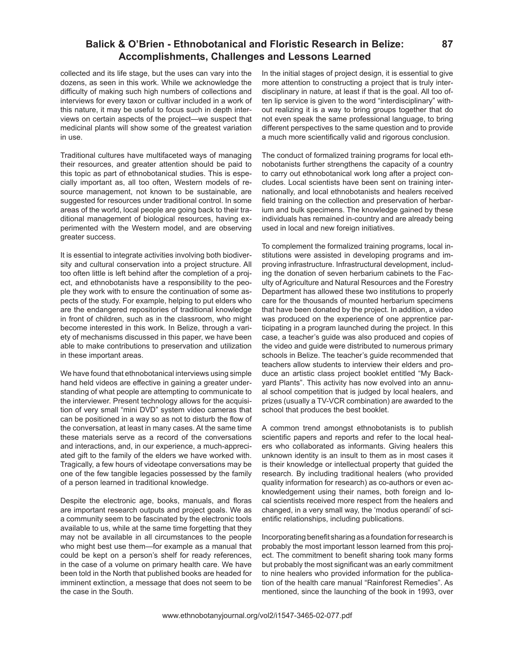collected and its life stage, but the uses can vary into the dozens, as seen in this work. While we acknowledge the difficulty of making such high numbers of collections and interviews for every taxon or cultivar included in a work of this nature, it may be useful to focus such in depth interviews on certain aspects of the project—we suspect that medicinal plants will show some of the greatest variation in use.

Traditional cultures have multifaceted ways of managing their resources, and greater attention should be paid to this topic as part of ethnobotanical studies. This is especially important as, all too often, Western models of resource management, not known to be sustainable, are suggested for resources under traditional control. In some areas of the world, local people are going back to their traditional management of biological resources, having experimented with the Western model, and are observing greater success.

It is essential to integrate activities involving both biodiversity and cultural conservation into a project structure. All too often little is left behind after the completion of a project, and ethnobotanists have a responsibility to the people they work with to ensure the continuation of some aspects of the study. For example, helping to put elders who are the endangered repositories of traditional knowledge in front of children, such as in the classroom, who might become interested in this work. In Belize, through a variety of mechanisms discussed in this paper, we have been able to make contributions to preservation and utilization in these important areas.

We have found that ethnobotanical interviews using simple hand held videos are effective in gaining a greater understanding of what people are attempting to communicate to the interviewer. Present technology allows for the acquisition of very small "mini DVD" system video cameras that can be positioned in a way so as not to disturb the flow of the conversation, at least in many cases. At the same time these materials serve as a record of the conversations and interactions, and, in our experience, a much-appreciated gift to the family of the elders we have worked with. Tragically, a few hours of videotape conversations may be one of the few tangible legacies possessed by the family of a person learned in traditional knowledge.

Despite the electronic age, books, manuals, and floras are important research outputs and project goals. We as a community seem to be fascinated by the electronic tools available to us, while at the same time forgetting that they may not be available in all circumstances to the people who might best use them—for example as a manual that could be kept on a person's shelf for ready references, in the case of a volume on primary health care. We have been told in the North that published books are headed for imminent extinction, a message that does not seem to be the case in the South.

In the initial stages of project design, it is essential to give more attention to constructing a project that is truly interdisciplinary in nature, at least if that is the goal. All too often lip service is given to the word "interdisciplinary" without realizing it is a way to bring groups together that do not even speak the same professional language, to bring different perspectives to the same question and to provide a much more scientifically valid and rigorous conclusion.

The conduct of formalized training programs for local ethnobotanists further strengthens the capacity of a country to carry out ethnobotanical work long after a project concludes. Local scientists have been sent on training internationally, and local ethnobotanists and healers received field training on the collection and preservation of herbarium and bulk specimens. The knowledge gained by these individuals has remained in-country and are already being used in local and new foreign initiatives.

To complement the formalized training programs, local institutions were assisted in developing programs and improving infrastructure. Infrastructural development, including the donation of seven herbarium cabinets to the Faculty of Agriculture and Natural Resources and the Forestry Department has allowed these two institutions to properly care for the thousands of mounted herbarium specimens that have been donated by the project. In addition, a video was produced on the experience of one apprentice participating in a program launched during the project. In this case, a teacher's guide was also produced and copies of the video and guide were distributed to numerous primary schools in Belize. The teacher's guide recommended that teachers allow students to interview their elders and produce an artistic class project booklet entitled "My Backyard Plants". This activity has now evolved into an annual school competition that is judged by local healers, and prizes (usually a TV-VCR combination) are awarded to the school that produces the best booklet.

A common trend amongst ethnobotanists is to publish scientific papers and reports and refer to the local healers who collaborated as informants. Giving healers this unknown identity is an insult to them as in most cases it is their knowledge or intellectual property that guided the research. By including traditional healers (who provided quality information for research) as co-authors or even acknowledgement using their names, both foreign and local scientists received more respect from the healers and changed, in a very small way, the 'modus operandi' of scientific relationships, including publications.

Incorporating benefit sharing as a foundation for research is probably the most important lesson learned from this project. The commitment to benefit sharing took many forms but probably the most significant was an early commitment to nine healers who provided information for the publication of the health care manual "Rainforest Remedies". As mentioned, since the launching of the book in 1993, over